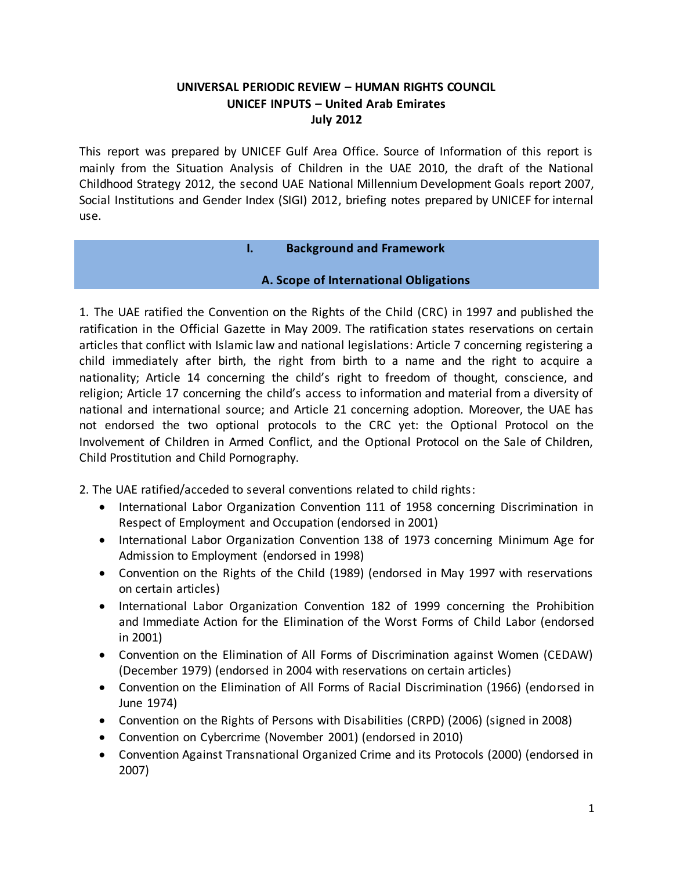### **UNIVERSAL PERIODIC REVIEW – HUMAN RIGHTS COUNCIL UNICEF INPUTS – United Arab Emirates July 2012**

This report was prepared by UNICEF Gulf Area Office. Source of Information of this report is mainly from the Situation Analysis of Children in the UAE 2010, the draft of the National Childhood Strategy 2012, the second UAE National Millennium Development Goals report 2007, Social Institutions and Gender Index (SIGI) 2012, briefing notes prepared by UNICEF for internal use.

#### **I. Background and Framework**

### **A. Scope of International Obligations**

1. The UAE ratified the Convention on the Rights of the Child (CRC) in 1997 and published the ratification in the Official Gazette in May 2009. The ratification states reservations on certain articles that conflict with Islamic law and national legislations: Article 7 concerning registering a child immediately after birth, the right from birth to a name and the right to acquire a nationality; Article 14 concerning the child's right to freedom of thought, conscience, and religion; Article 17 concerning the child's access to information and material from a diversity of national and international source; and Article 21 concerning adoption. Moreover, the UAE has not endorsed the two optional protocols to the CRC yet: the Optional Protocol on the Involvement of Children in Armed Conflict, and the Optional Protocol on the Sale of Children, Child Prostitution and Child Pornography.

2. The UAE ratified/acceded to several conventions related to child rights:

- International Labor Organization Convention 111 of 1958 concerning Discrimination in Respect of Employment and Occupation (endorsed in 2001)
- International Labor Organization Convention 138 of 1973 concerning Minimum Age for Admission to Employment (endorsed in 1998)
- Convention on the Rights of the Child (1989) (endorsed in May 1997 with reservations on certain articles)
- International Labor Organization Convention 182 of 1999 concerning the Prohibition and Immediate Action for the Elimination of the Worst Forms of Child Labor (endorsed in 2001)
- Convention on the Elimination of All Forms of Discrimination against Women (CEDAW) (December 1979) (endorsed in 2004 with reservations on certain articles)
- Convention on the Elimination of All Forms of Racial Discrimination (1966) (endorsed in June 1974)
- Convention on the Rights of Persons with Disabilities (CRPD) (2006) (signed in 2008)
- Convention on Cybercrime (November 2001) (endorsed in 2010)
- Convention Against Transnational Organized Crime and its Protocols (2000) (endorsed in 2007)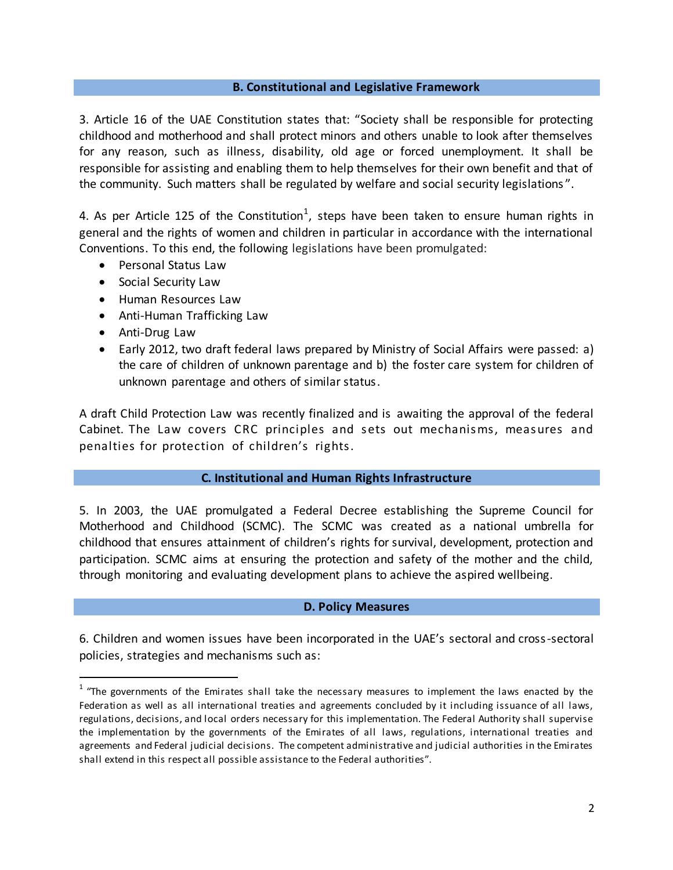#### **B. Constitutional and Legislative Framework**

3. Article 16 of the UAE Constitution states that: "Society shall be responsible for protecting childhood and motherhood and shall protect minors and others unable to look after themselves for any reason, such as illness, disability, old age or forced unemployment. It shall be responsible for assisting and enabling them to help themselves for their own benefit and that of the community. Such matters shall be regulated by welfare and social security legislations ".

4. As per Article 125 of the Constitution<sup>1</sup>, steps have been taken to ensure human rights in general and the rights of women and children in particular in accordance with the international Conventions. To this end, the following legislations have been promulgated:

- Personal Status Law
- Social Security Law
- Human Resources Law
- Anti-Human Trafficking Law
- Anti-Drug Law

 $\ddot{\phantom{a}}$ 

 Early 2012, two draft federal laws prepared by Ministry of Social Affairs were passed: a) the care of children of unknown parentage and b) the foster care system for children of unknown parentage and others of similar status.

A draft Child Protection Law was recently finalized and is awaiting the approval of the federal Cabinet. The Law covers CRC principles and sets out mechanisms, measures and penalties for protection of children's rights.

#### **C. Institutional and Human Rights Infrastructure**

5. In 2003, the UAE promulgated a Federal Decree establishing the Supreme Council for Motherhood and Childhood (SCMC). The SCMC was created as a national umbrella for childhood that ensures attainment of children's rights for survival, development, protection and participation. SCMC aims at ensuring the protection and safety of the mother and the child, through monitoring and evaluating development plans to achieve the aspired wellbeing.

#### **D. Policy Measures**

6. Children and women issues have been incorporated in the UAE's sectoral and cross-sectoral policies, strategies and mechanisms such as:

 $1$  "The governments of the Emirates shall take the necessary measures to implement the laws enacted by the Federation as well as all international treaties and agreements concluded by it including issuance of all laws, regulations, decisions, and local orders necessary for this implementation. The Federal Authority shall supervise the implementation by the governments of the Emirates of all laws, regulations, international treaties and agreements and Federal judicial decisions. The competent administrative and judicial authorities in the Emirates shall extend in this respect all possible assistance to the Federal authorities".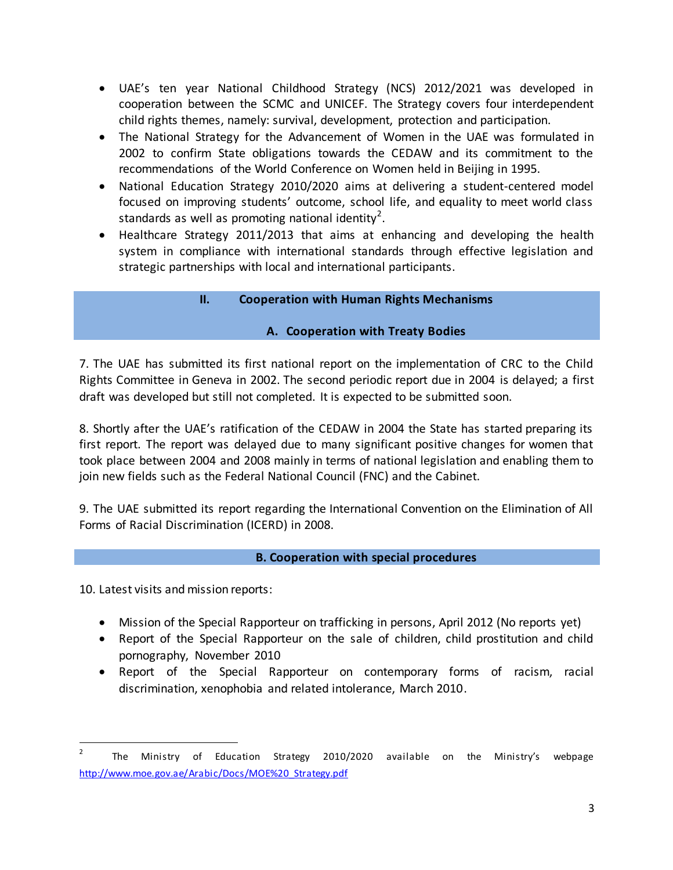- UAE's ten year National Childhood Strategy (NCS) 2012/2021 was developed in cooperation between the SCMC and UNICEF. The Strategy covers four interdependent child rights themes, namely: survival, development, protection and participation.
- The National Strategy for the Advancement of Women in the UAE was formulated in 2002 to confirm State obligations towards the CEDAW and its commitment to the recommendations of the World Conference on Women held in Beijing in 1995.
- National Education Strategy 2010/2020 aims at delivering a student-centered model focused on improving students' outcome, school life, and equality to meet world class standards as well as promoting national identity<sup>2</sup>.
- Healthcare Strategy 2011/2013 that aims at enhancing and developing the health system in compliance with international standards through effective legislation and strategic partnerships with local and international participants.

## **II. Cooperation with Human Rights Mechanisms**

### **A. Cooperation with Treaty Bodies**

7. The UAE has submitted its first national report on the implementation of CRC to the Child Rights Committee in Geneva in 2002. The second periodic report due in 2004 is delayed; a first draft was developed but still not completed. It is expected to be submitted soon.

8. Shortly after the UAE's ratification of the CEDAW in 2004 the State has started preparing its first report. The report was delayed due to many significant positive changes for women that took place between 2004 and 2008 mainly in terms of national legislation and enabling them to join new fields such as the Federal National Council (FNC) and the Cabinet.

9. The UAE submitted its report regarding the International Convention on the Elimination of All Forms of Racial Discrimination (ICERD) in 2008.

#### **B. Cooperation with special procedures**

10. Latest visits and mission reports:

l

- Mission of the Special Rapporteur on trafficking in persons, April 2012 (No reports yet)
- Report of the Special Rapporteur on the sale of children, child prostitution and child pornography, November 2010
- Report of the Special Rapporteur on contemporary forms of racism, racial discrimination, xenophobia and related intolerance, March 2010.

<sup>2</sup> The Ministry of Education Strategy 2010/2020 available on the Ministry's webpage [http://www.moe.gov.ae/Arabic/Docs/MOE%20\\_Strategy.pdf](http://www.moe.gov.ae/Arabic/Docs/MOE%20_Strategy.pdf)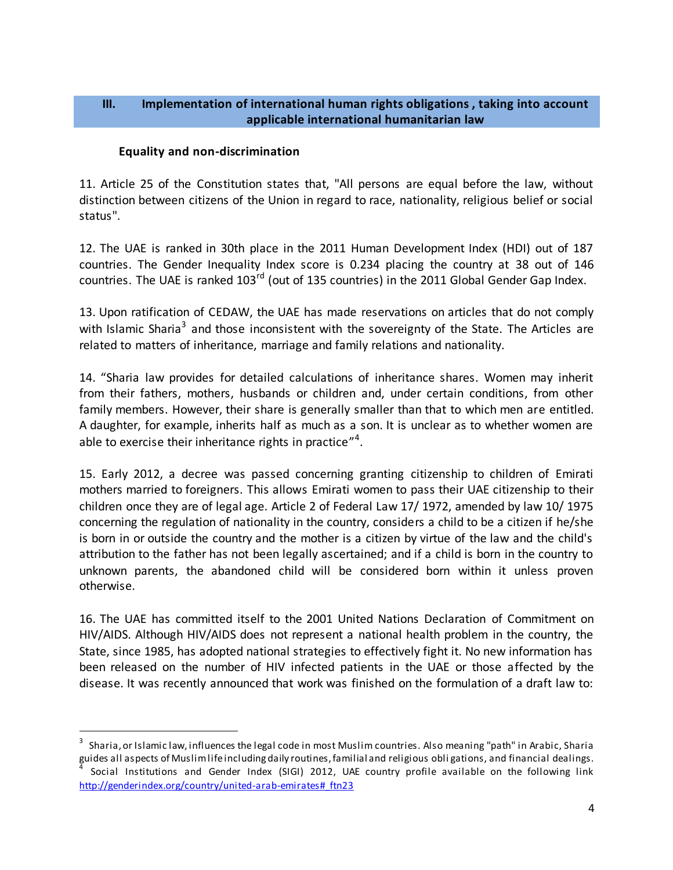#### **III. Implementation of international human rights obligations , taking into account applicable international humanitarian law**

#### **Equality and non-discrimination**

 $\ddot{\phantom{a}}$ 

11. Article 25 of the Constitution states that, "All persons are equal before the law, without distinction between citizens of the Union in regard to race, nationality, religious belief or social status".

12. The UAE is ranked in 30th place in the 2011 Human Development Index (HDI) out of 187 countries. The Gender Inequality Index score is 0.234 placing the country at 38 out of 146 countries. The UAE is ranked 103<sup>rd</sup> (out of 135 countries) in the 2011 Global Gender Gap Index.

13. Upon ratification of CEDAW, the UAE has made reservations on articles that do not comply with Islamic Sharia<sup>3</sup> and those inconsistent with the sovereignty of the State. The Articles are related to matters of inheritance, marriage and family relations and nationality.

14. "Sharia law provides for detailed calculations of inheritance shares. Women may inherit from their fathers, mothers, husbands or children and, under certain conditions, from other family members. However, their share is generally smaller than that to which men are entitled. A daughter, for example, inherits half as much as a son. It is unclear as to whether women are able to exercise their inheritance rights in practice"<sup>4</sup>.

15. Early 2012, a decree was passed concerning granting citizenship to children of Emirati mothers married to foreigners. This allows Emirati women to pass their UAE citizenship to their children once they are of legal age. Article 2 of Federal Law 17/ 1972, amended by law 10/ 1975 concerning the regulation of nationality in the country, considers a child to be a citizen if he/she is born in or outside the country and the mother is a citizen by virtue of the law and the child's attribution to the father has not been legally ascertained; and if a child is born in the country to unknown parents, the abandoned child will be considered born within it unless proven otherwise.

16. The UAE has committed itself to the 2001 United Nations Declaration of Commitment on HIV/AIDS. Although HIV/AIDS does not represent a national health problem in the country, the State, since 1985, has adopted national strategies to effectively fight it. No new information has been released on the number of HIV infected patients in the UAE or those affected by the disease. It was recently announced that work was finished on the formulation of a draft law to:

<sup>3</sup> Sharia, or Islamic law, influences the legal code in most Muslim countries. Also meaning "path" in Arabic, Sharia guides all aspects of Muslim life including daily routines, familial and religious obligations, and financial dealings.<br><sup>4</sup> Secial Jastitutions, and Condex Jodey (SICI), 2012, JJAE country, arefile available, an the follow

Social Institutions and Gender Index (SIGI) 2012, UAE country profile available on the following link http://genderindex.org/country/united-arab-emirates# ftn23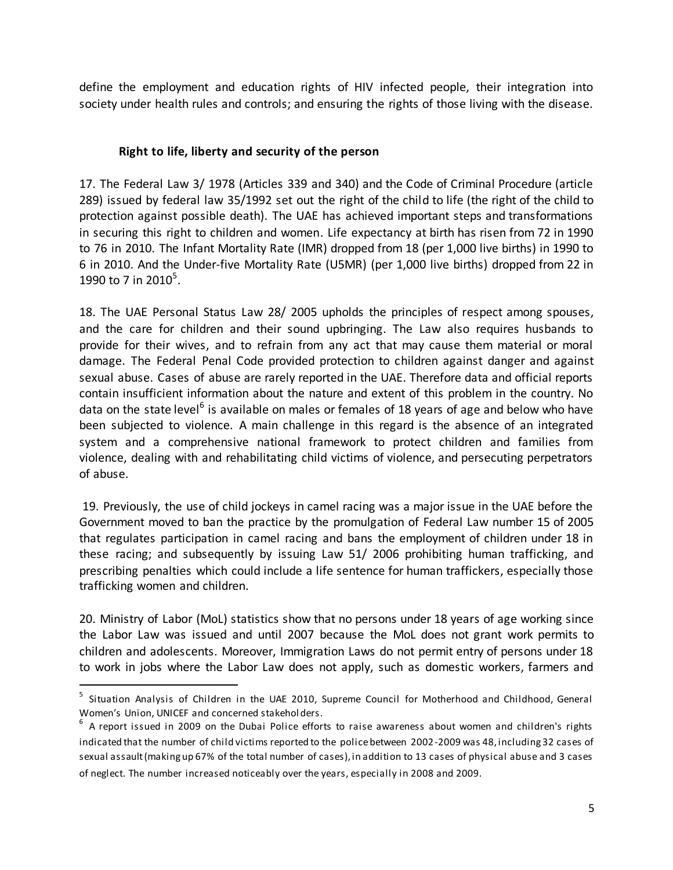define the employment and education rights of HIV infected people, their integration into society under health rules and controls; and ensuring the rights of those living with the disease.

## **Right to life, liberty and security of the person**

17. The Federal Law 3/ 1978 (Articles 339 and 340) and the Code of Criminal Procedure (article 289) issued by federal law 35/1992 set out the right of the child to life (the right of the child to protection against possible death). The UAE has achieved important steps and transformations in securing this right to children and women. Life expectancy at birth has risen from 72 in 1990 to 76 in 2010. The Infant Mortality Rate (IMR) dropped from 18 (per 1,000 live births) in 1990 to 6 in 2010. And the Under-five Mortality Rate (U5MR) (per 1,000 live births) dropped from 22 in 1990 to 7 in 2010<sup>5</sup>.

18. The UAE Personal Status Law 28/ 2005 upholds the principles of respect among spouses, and the care for children and their sound upbringing. The Law also requires husbands to provide for their wives, and to refrain from any act that may cause them material or moral damage. The Federal Penal Code provided protection to children against danger and against sexual abuse. Cases of abuse are rarely reported in the UAE. Therefore data and official reports contain insufficient information about the nature and extent of this problem in the country. No data on the state level<sup>6</sup> is available on males or females of 18 years of age and below who have been subjected to violence. A main challenge in this regard is the absence of an integrated system and a comprehensive national framework to protect children and families from violence, dealing with and rehabilitating child victims of violence, and persecuting perpetrators of abuse.

19. Previously, the use of child jockeys in camel racing was a major issue in the UAE before the Government moved to ban the practice by the promulgation of Federal Law number 15 of 2005 that regulates participation in camel racing and bans the employment of children under 18 in these racing; and subsequently by issuing Law 51/ 2006 prohibiting human trafficking, and prescribing penalties which could include a life sentence for human traffickers, especially those trafficking women and children.

20. Ministry of Labor (MoL) statistics show that no persons under 18 years of age working since the Labor Law was issued and until 2007 because the MoL does not grant work permits to children and adolescents. Moreover, Immigration Laws do not permit entry of persons under 18 to work in jobs where the Labor Law does not apply, such as domestic workers, farmers and

<sup>&</sup>lt;sup>5</sup> Situation Analysis of Children in the UAE 2010, Supreme Council for Motherhood and Childhood, General Women's Union, UNICEF and concerned stakehol ders.

 $^6$  A report issued in 2009 on the Dubai Police efforts to raise awareness about women and children's rights indicated that the number of child victims reported to the police between 2002-2009 was 48, including 32 cases of sexual assault (making up 67% of the total number of cases), in addition to 13 cases of physical abuse and 3 cases of neglect. The number increased noticeably over the years, especially in 2008 and 2009.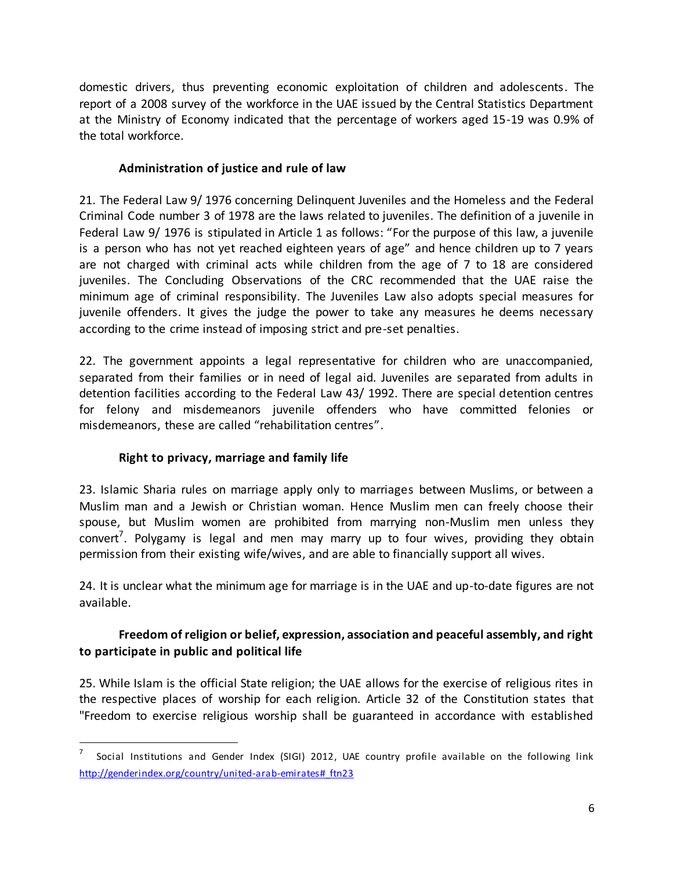domestic drivers, thus preventing economic exploitation of children and adolescents. The report of a 2008 survey of the workforce in the UAE issued by the Central Statistics Department at the Ministry of Economy indicated that the percentage of workers aged 15-19 was 0.9% of the total workforce.

## **Administration of justice and rule of law**

21. The Federal Law 9/ 1976 concerning Delinquent Juveniles and the Homeless and the Federal Criminal Code number 3 of 1978 are the laws related to juveniles. The definition of a juvenile in Federal Law 9/ 1976 is stipulated in Article 1 as follows: "For the purpose of this law, a juvenile is a person who has not yet reached eighteen years of age" and hence children up to 7 years are not charged with criminal acts while children from the age of 7 to 18 are considered juveniles. The Concluding Observations of the CRC recommended that the UAE raise the minimum age of criminal responsibility. The Juveniles Law also adopts special measures for juvenile offenders. It gives the judge the power to take any measures he deems necessary according to the crime instead of imposing strict and pre-set penalties.

22. The government appoints a legal representative for children who are unaccompanied, separated from their families or in need of legal aid. Juveniles are separated from adults in detention facilities according to the Federal Law 43/ 1992. There are special detention centres for felony and misdemeanors juvenile offenders who have committed felonies or misdemeanors, these are called "rehabilitation centres".

# **Right to privacy, marriage and family life**

l

23. Islamic Sharia rules on marriage apply only to marriages between Muslims, or between a Muslim man and a Jewish or Christian woman. Hence Muslim men can freely choose their spouse, but Muslim women are prohibited from marrying non-Muslim men unless they convert<sup>7</sup>. Polygamy is legal and men may marry up to four wives, providing they obtain permission from their existing wife/wives, and are able to financially support all wives.

24. It is unclear what the minimum age for marriage is in the UAE and up-to-date figures are not available.

## **Freedom of religion or belief, expression, association and peaceful assembly, and right to participate in public and political life**

25. While Islam is the official State religion; the UAE allows for the exercise of religious rites in the respective places of worship for each religion. Article 32 of the Constitution states that "Freedom to exercise religious worship shall be guaranteed in accordance with established

<sup>7</sup> Social Institutions and Gender Index (SIGI) 2012, UAE country profile available on the following link http://genderindex.org/country/united-arab-emirates# ftn23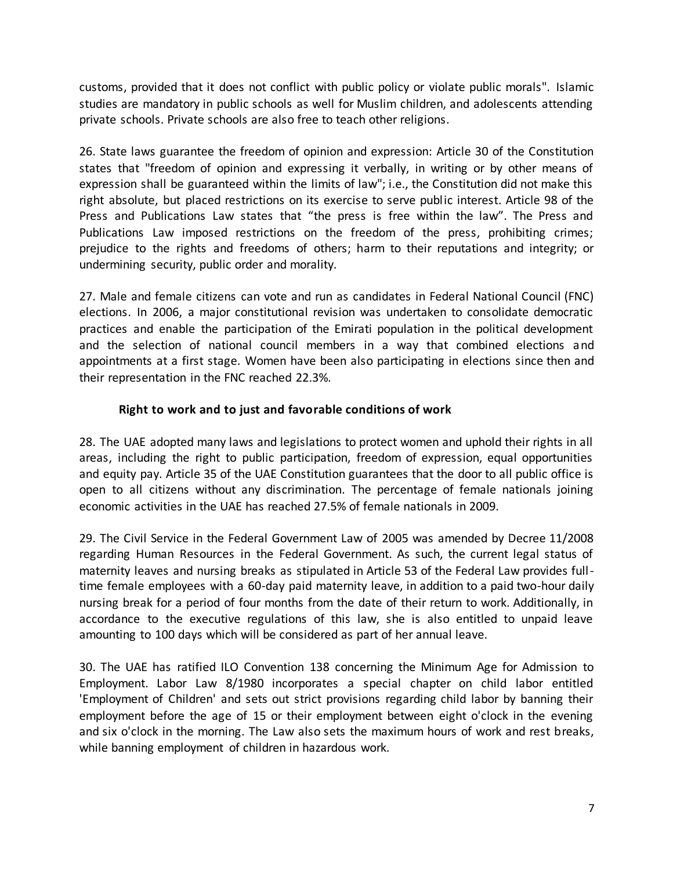customs, provided that it does not conflict with public policy or violate public morals". Islamic studies are mandatory in public schools as well for Muslim children, and adolescents attending private schools. Private schools are also free to teach other religions.

26. State laws guarantee the freedom of opinion and expression: Article 30 of the Constitution states that "freedom of opinion and expressing it verbally, in writing or by other means of expression shall be guaranteed within the limits of law"; i.e., the Constitution did not make this right absolute, but placed restrictions on its exercise to serve public interest. Article 98 of the Press and Publications Law states that "the press is free within the law". The Press and Publications Law imposed restrictions on the freedom of the press, prohibiting crimes; prejudice to the rights and freedoms of others; harm to their reputations and integrity; or undermining security, public order and morality.

27. Male and female citizens can vote and run as candidates in Federal National Council (FNC) elections. In 2006, a major constitutional revision was undertaken to consolidate democratic practices and enable the participation of the Emirati population in the political development and the selection of national council members in a way that combined elections and appointments at a first stage. Women have been also participating in elections since then and their representation in the FNC reached 22.3%.

### **Right to work and to just and favorable conditions of work**

28. The UAE adopted many laws and legislations to protect women and uphold their rights in all areas, including the right to public participation, freedom of expression, equal opportunities and equity pay. Article 35 of the UAE Constitution guarantees that the door to all public office is open to all citizens without any discrimination. The percentage of female nationals joining economic activities in the UAE has reached 27.5% of female nationals in 2009.

29. The Civil Service in the Federal Government Law of 2005 was amended by Decree 11/2008 regarding Human Resources in the Federal Government. As such, the current legal status of maternity leaves and nursing breaks as stipulated in Article 53 of the Federal Law provides fulltime female employees with a 60-day paid maternity leave, in addition to a paid two-hour daily nursing break for a period of four months from the date of their return to work. Additionally, in accordance to the executive regulations of this law, she is also entitled to unpaid leave amounting to 100 days which will be considered as part of her annual leave.

30. The UAE has ratified ILO Convention 138 concerning the Minimum Age for Admission to Employment. Labor Law 8/1980 incorporates a special chapter on child labor entitled 'Employment of Children' and sets out strict provisions regarding child labor by banning their employment before the age of 15 or their employment between eight o'clock in the evening and six o'clock in the morning. The Law also sets the maximum hours of work and rest breaks, while banning employment of children in hazardous work.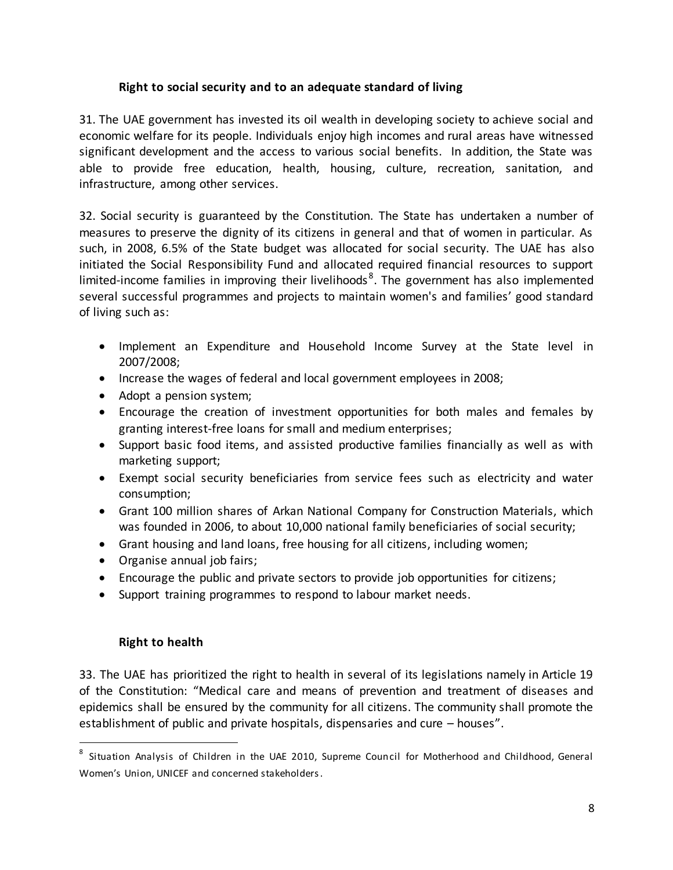#### **Right to social security and to an adequate standard of living**

31. The UAE government has invested its oil wealth in developing society to achieve social and economic welfare for its people. Individuals enjoy high incomes and rural areas have witnessed significant development and the access to various social benefits. In addition, the State was able to provide free education, health, housing, culture, recreation, sanitation, and infrastructure, among other services.

32. Social security is guaranteed by the Constitution. The State has undertaken a number of measures to preserve the dignity of its citizens in general and that of women in particular. As such, in 2008, 6.5% of the State budget was allocated for social security. The UAE has also initiated the Social Responsibility Fund and allocated required financial resources to support limited-income families in improving their livelihoods<sup>8</sup>. The government has also implemented several successful programmes and projects to maintain women's and families' good standard of living such as:

- Implement an Expenditure and Household Income Survey at the State level in 2007/2008;
- Increase the wages of federal and local government employees in 2008;
- Adopt a pension system;
- Encourage the creation of investment opportunities for both males and females by granting interest-free loans for small and medium enterprises;
- Support basic food items, and assisted productive families financially as well as with marketing support;
- Exempt social security beneficiaries from service fees such as electricity and water consumption;
- Grant 100 million shares of Arkan National Company for Construction Materials, which was founded in 2006, to about 10,000 national family beneficiaries of social security;
- Grant housing and land loans, free housing for all citizens, including women;
- Organise annual job fairs;
- Encourage the public and private sectors to provide job opportunities for citizens;
- Support training programmes to respond to labour market needs.

### **Right to health**

l

33. The UAE has prioritized the right to health in several of its legislations namely in Article 19 of the Constitution: "Medical care and means of prevention and treatment of diseases and epidemics shall be ensured by the community for all citizens. The community shall promote the establishment of public and private hospitals, dispensaries and cure – houses".

<sup>&</sup>lt;sup>8</sup> Situation Analysis of Children in the UAE 2010, Supreme Council for Motherhood and Childhood, General Women's Union, UNICEF and concerned stakeholders.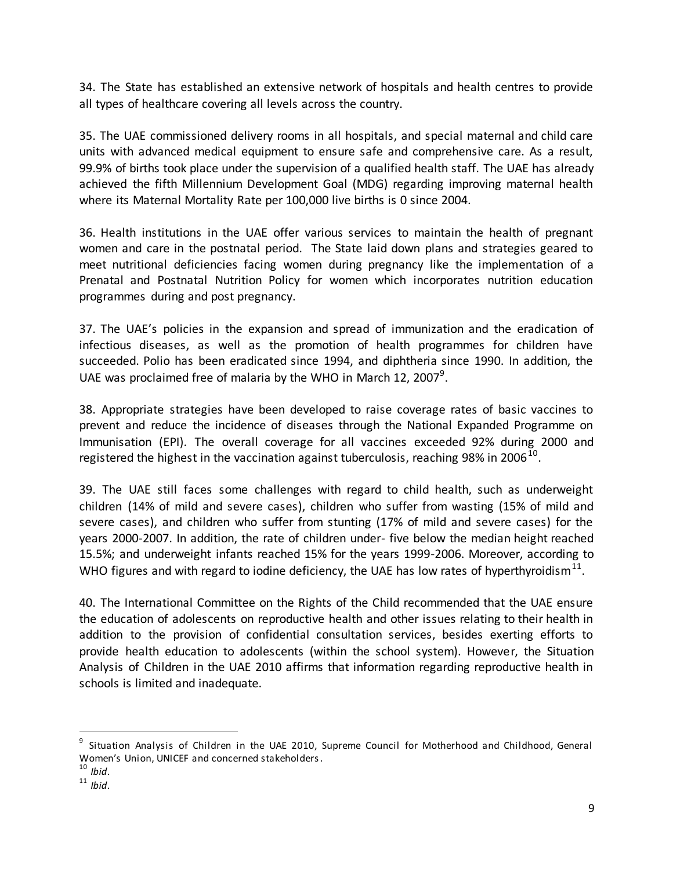34. The State has established an extensive network of hospitals and health centres to provide all types of healthcare covering all levels across the country.

35. The UAE commissioned delivery rooms in all hospitals, and special maternal and child care units with advanced medical equipment to ensure safe and comprehensive care. As a result, 99.9% of births took place under the supervision of a qualified health staff. The UAE has already achieved the fifth Millennium Development Goal (MDG) regarding improving maternal health where its Maternal Mortality Rate per 100,000 live births is 0 since 2004.

36. Health institutions in the UAE offer various services to maintain the health of pregnant women and care in the postnatal period. The State laid down plans and strategies geared to meet nutritional deficiencies facing women during pregnancy like the implementation of a Prenatal and Postnatal Nutrition Policy for women which incorporates nutrition education programmes during and post pregnancy.

37. The UAE's policies in the expansion and spread of immunization and the eradication of infectious diseases, as well as the promotion of health programmes for children have succeeded. Polio has been eradicated since 1994, and diphtheria since 1990. In addition, the UAE was proclaimed free of malaria by the WHO in March 12, 2007<sup>9</sup>.

38. Appropriate strategies have been developed to raise coverage rates of basic vaccines to prevent and reduce the incidence of diseases through the National Expanded Programme on Immunisation (EPI). The overall coverage for all vaccines exceeded 92% during 2000 and registered the highest in the vaccination against tuberculosis, reaching 98% in 2006 $^{10}$ .

39. The UAE still faces some challenges with regard to child health, such as underweight children (14% of mild and severe cases), children who suffer from wasting (15% of mild and severe cases), and children who suffer from stunting (17% of mild and severe cases) for the years 2000-2007. In addition, the rate of children under- five below the median height reached 15.5%; and underweight infants reached 15% for the years 1999-2006. Moreover, according to WHO figures and with regard to iodine deficiency, the UAE has low rates of hyperthyroidism $^{11}$ .

40. The International Committee on the Rights of the Child recommended that the UAE ensure the education of adolescents on reproductive health and other issues relating to their health in addition to the provision of confidential consultation services, besides exerting efforts to provide health education to adolescents (within the school system). However, the Situation Analysis of Children in the UAE 2010 affirms that information regarding reproductive health in schools is limited and inadequate.

<sup>9</sup> Situation Analysis of Children in the UAE 2010, Supreme Council for Motherhood and Childhood, General Women's Union, UNICEF and concerned stakeholders.

<sup>10</sup> *Ibid*.

<sup>11</sup> *Ibid*.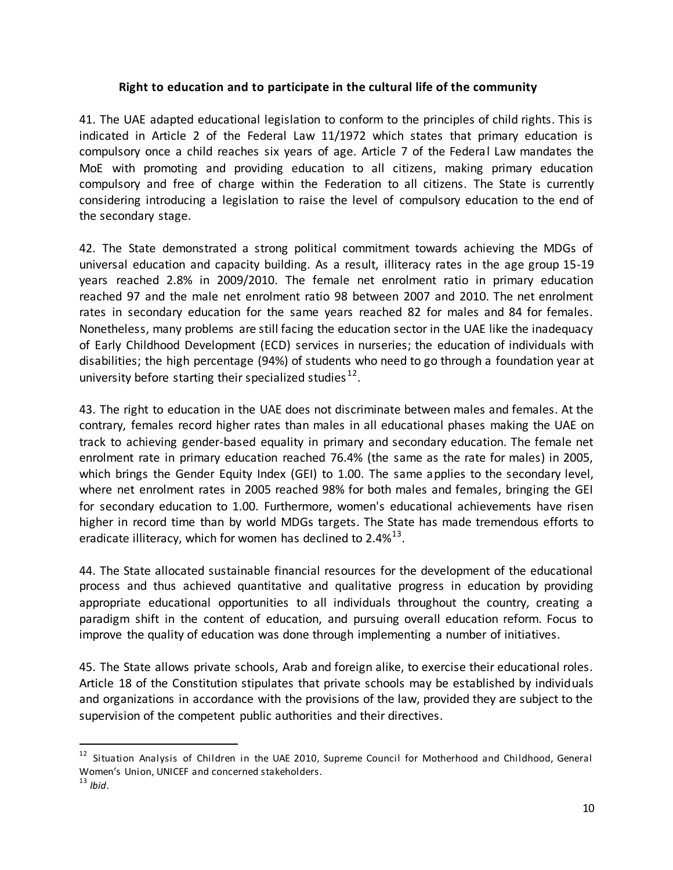#### **Right to education and to participate in the cultural life of the community**

41. The UAE adapted educational legislation to conform to the principles of child rights. This is indicated in Article 2 of the Federal Law 11/1972 which states that primary education is compulsory once a child reaches six years of age. Article 7 of the Federal Law mandates the MoE with promoting and providing education to all citizens, making primary education compulsory and free of charge within the Federation to all citizens. The State is currently considering introducing a legislation to raise the level of compulsory education to the end of the secondary stage.

42. The State demonstrated a strong political commitment towards achieving the MDGs of universal education and capacity building. As a result, illiteracy rates in the age group 15-19 years reached 2.8% in 2009/2010. The female net enrolment ratio in primary education reached 97 and the male net enrolment ratio 98 between 2007 and 2010. The net enrolment rates in secondary education for the same years reached 82 for males and 84 for females. Nonetheless, many problems are still facing the education sector in the UAE like the inadequacy of Early Childhood Development (ECD) services in nurseries; the education of individuals with disabilities; the high percentage (94%) of students who need to go through a foundation year at university before starting their specialized studies  $^{12}$ .

43. The right to education in the UAE does not discriminate between males and females. At the contrary, females record higher rates than males in all educational phases making the UAE on track to achieving gender-based equality in primary and secondary education. The female net enrolment rate in primary education reached 76.4% (the same as the rate for males) in 2005, which brings the Gender Equity Index (GEI) to 1.00. The same applies to the secondary level, where net enrolment rates in 2005 reached 98% for both males and females, bringing the GEI for secondary education to 1.00. Furthermore, women's educational achievements have risen higher in record time than by world MDGs targets. The State has made tremendous efforts to eradicate illiteracy, which for women has declined to 2.4% $^{13}$ .

44. The State allocated sustainable financial resources for the development of the educational process and thus achieved quantitative and qualitative progress in education by providing appropriate educational opportunities to all individuals throughout the country, creating a paradigm shift in the content of education, and pursuing overall education reform. Focus to improve the quality of education was done through implementing a number of initiatives.

45. The State allows private schools, Arab and foreign alike, to exercise their educational roles. Article 18 of the Constitution stipulates that private schools may be established by individuals and organizations in accordance with the provisions of the law, provided they are subject to the supervision of the competent public authorities and their directives.

<sup>&</sup>lt;sup>12</sup> Situation Analysis of Children in the UAE 2010, Supreme Council for Motherhood and Childhood, General Women's Union, UNICEF and concerned stakeholders.

<sup>13</sup> *Ibid*.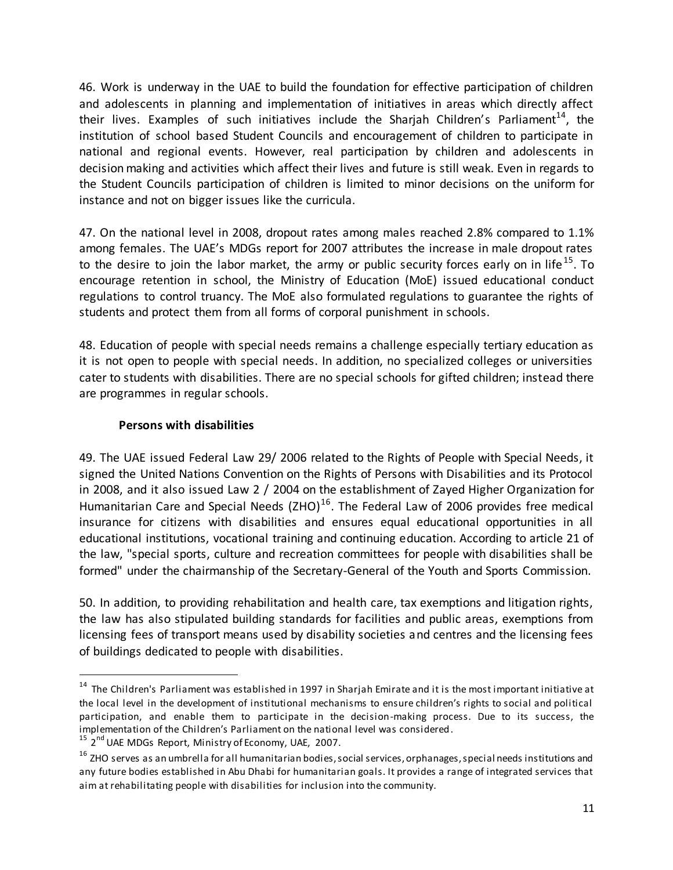46. Work is underway in the UAE to build the foundation for effective participation of children and adolescents in planning and implementation of initiatives in areas which directly affect their lives. Examples of such initiatives include the Sharjah Children's Parliament<sup>14</sup>, the institution of school based Student Councils and encouragement of children to participate in national and regional events. However, real participation by children and adolescents in decision making and activities which affect their lives and future is still weak. Even in regards to the Student Councils participation of children is limited to minor decisions on the uniform for instance and not on bigger issues like the curricula.

47. On the national level in 2008, dropout rates among males reached 2.8% compared to 1.1% among females. The UAE's MDGs report for 2007 attributes the increase in male dropout rates to the desire to join the labor market, the army or public security forces early on in life<sup>15</sup>. To encourage retention in school, the Ministry of Education (MoE) issued educational conduct regulations to control truancy. The MoE also formulated regulations to guarantee the rights of students and protect them from all forms of corporal punishment in schools.

48. Education of people with special needs remains a challenge especially tertiary education as it is not open to people with special needs. In addition, no specialized colleges or universities cater to students with disabilities. There are no special schools for gifted children; instead there are programmes in regular schools.

### **Persons with disabilities**

49. The UAE issued Federal Law 29/ 2006 related to the Rights of People with Special Needs, it signed the United Nations Convention on the Rights of Persons with Disabilities and its Protocol in 2008, and it also issued Law 2 / 2004 on the establishment of Zayed Higher Organization for Humanitarian Care and Special Needs (ZHO)<sup>16</sup>. The Federal Law of 2006 provides free medical insurance for citizens with disabilities and ensures equal educational opportunities in all educational institutions, vocational training and continuing education. According to article 21 of the law, "special sports, culture and recreation committees for people with disabilities shall be formed" under the chairmanship of the Secretary-General of the Youth and Sports Commission.

50. In addition, to providing rehabilitation and health care, tax exemptions and litigation rights, the law has also stipulated building standards for facilities and public areas, exemptions from licensing fees of transport means used by disability societies and centres and the licensing fees of buildings dedicated to people with disabilities.

<sup>&</sup>lt;sup>14</sup> The Children's Parliament was established in 1997 in Sharjah Emirate and it is the most important initiative at the local level in the development of institutional mechanisms to ensure children's rights to social and political participation, and enable them to participate in the decision-making process. Due to its success, the implementation of the Children's Parliament on the national level was considered.

<sup>&</sup>lt;sup>15</sup> 2<sup>nd</sup> UAE MDGs Report, Ministry of Economy, UAE, 2007.

<sup>&</sup>lt;sup>16</sup> ZHO serves as an umbrella for all humanitarian bodies, social services, orphanages, special needs institutions and any future bodies established in Abu Dhabi for humanitarian goals. It provides a range of integrated services that aim at rehabilitating people with disabilities for inclusion into the community.